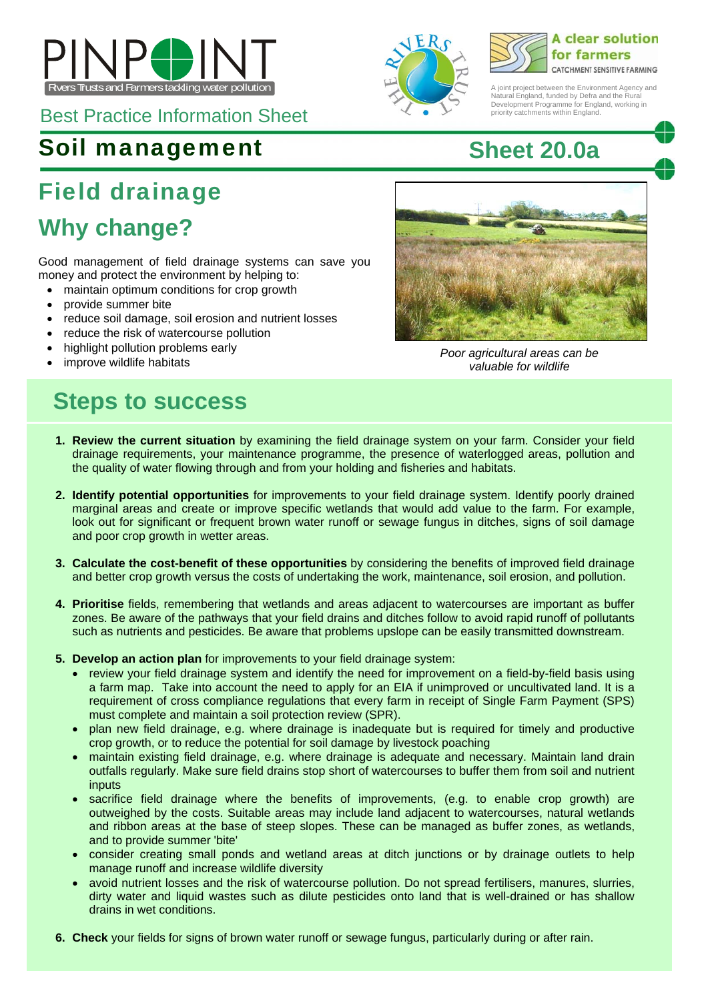

Best Practice Information Sheet

### Soil management **Sheet 20.0a**

## Field drainage

## **Why change?**

Good management of field drainage systems can save you money and protect the environment by helping to:

- maintain optimum conditions for crop growth
- provide summer bite
- reduce soil damage, soil erosion and nutrient losses
- reduce the risk of watercourse pollution
- highlight pollution problems early
- 

### **Steps to success**





A joint project between the Environment Agency and Natural England, funded by Defra and the Rural Development Programme for England, working in priority catchments within England.



• Inighlight politician problems early and the same of the *Poor agricultural areas can be* **a problem in the areas can be**  $\frac{1}{2}$  and  $\frac{1}{2}$  and  $\frac{1}{2}$  areas can be  $\frac{1}{2}$  and  $\frac{1}{2}$  areas can be improve wi *valuable for wildlife* 

- **1. Review the current situation** by examining the field drainage system on your farm. Consider your field drainage requirements, your maintenance programme, the presence of waterlogged areas, pollution and the quality of water flowing through and from your holding and fisheries and habitats.
- **2. Identify potential opportunities** for improvements to your field drainage system. Identify poorly drained marginal areas and create or improve specific wetlands that would add value to the farm. For example, look out for significant or frequent brown water runoff or sewage fungus in ditches, signs of soil damage and poor crop growth in wetter areas.
- **3. Calculate the cost-benefit of these opportunities** by considering the benefits of improved field drainage and better crop growth versus the costs of undertaking the work, maintenance, soil erosion, and pollution.
- **4. Prioritise** fields, remembering that wetlands and areas adjacent to watercourses are important as buffer zones. Be aware of the pathways that your field drains and ditches follow to avoid rapid runoff of pollutants such as nutrients and pesticides. Be aware that problems upslope can be easily transmitted downstream.
- **5. Develop an action plan** for improvements to your field drainage system:
	- review your field drainage system and identify the need for improvement on a field-by-field basis using a farm map. Take into account the need to apply for an EIA if unimproved or uncultivated land. It is a requirement of cross compliance regulations that every farm in receipt of Single Farm Payment (SPS) must complete and maintain a soil protection review (SPR).
	- plan new field drainage, e.g. where drainage is inadequate but is required for timely and productive crop growth, or to reduce the potential for soil damage by livestock poaching
	- maintain existing field drainage, e.g. where drainage is adequate and necessary. Maintain land drain outfalls regularly. Make sure field drains stop short of watercourses to buffer them from soil and nutrient inputs
	- sacrifice field drainage where the benefits of improvements, (e.g. to enable crop growth) are outweighed by the costs. Suitable areas may include land adjacent to watercourses, natural wetlands and ribbon areas at the base of steep slopes. These can be managed as buffer zones, as wetlands, and to provide summer 'bite'
	- consider creating small ponds and wetland areas at ditch junctions or by drainage outlets to help manage runoff and increase wildlife diversity
	- avoid nutrient losses and the risk of watercourse pollution. Do not spread fertilisers, manures, slurries, dirty water and liquid wastes such as dilute pesticides onto land that is well-drained or has shallow drains in wet conditions.
- **6. Check** your fields for signs of brown water runoff or sewage fungus, particularly during or after rain.